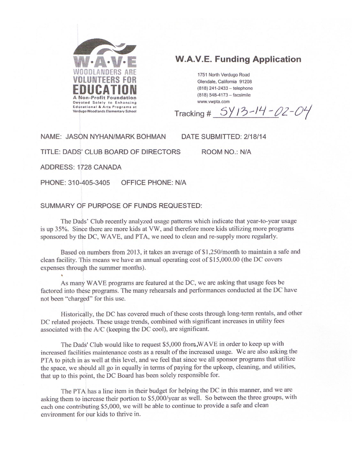

# **W.A.V.E. Funding Application**

1751 North Verdugo Road Glendale, California 91208 (818) 241-2433 - telephone (818) 548-4173 - facsimile www.ywnta.com

 $5Y13-14-02-04$ Tracking #

NAME: JASON NYHAN/MARK BOHMAN

DATE SUBMITTED: 2/18/14

TITLE: DADS' CLUB BOARD OF DIRECTORS

ROOM NO.: N/A

ADDRESS: 1728 CANADA

PHONE: 310-405-3405 OFFICE PHONE: N/A

#### SUMMARY OF PURPOSE OF FUNDS REQUESTED:

The Dads' Club recently analyzed usage patterns which indicate that year-to-year usage is up 35%. Since there are more kids at VW, and therefore more kids utilizing more programs sponsored by the DC, WAVE, and PTA, we need to clean and re-supply more regularly.

Based on numbers from 2013, it takes an average of \$1,250/month to maintain a safe and clean facility. This means we have an annual operating cost of \$15,000.00 (the DC covers expenses through the summer months).

As many WAVE programs are featured at the DC, we are asking that usage fees be factored into these programs. The many rehearsals and performances conducted at the DC have not been "charged" for this use.

Historically, the DC has covered much of these costs through long-term rentals, and other DC related projects. These usage trends, combined with significant increases in utility fees associated with the A/C (keeping the DC cool), are significant.

The Dads' Club would like to request \$5,000 from WAVE in order to keep up with increased facilities maintenance costs as a result of the increased usage. We are also asking the PTA to pitch in as well at this level, and we feel that since we all sponsor programs that utilize the space, we should all go in equally in terms of paying for the upkeep, cleaning, and utilities, that up to this point, the DC Board has been solely responsible for.

The PTA has a line item in their budget for helping the DC in this manner, and we are asking them to increase their portion to \$5,000/year as well. So between the three groups, with each one contributing \$5,000, we will be able to continue to provide a safe and clean environment for our kids to thrive in.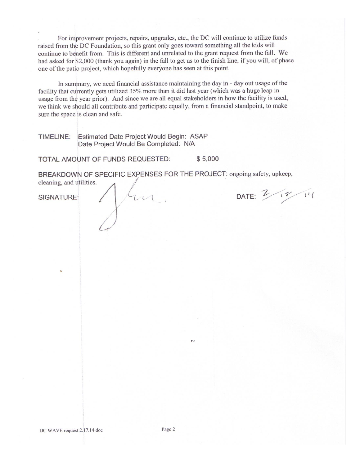For improvement projects, repairs, upgrades, etc., the DC will continue to utilize funds raised from the DC Foundation, so this grant only goes toward something all the kids will continue to benefit from. This is different and unrelated to the grant request from the fall. We had asked for \$2,000 (thank you again) in the fall to get us to the finish line, if you will, of phase one of the patio project, which hopefully everyone has seen at this point.

In summary, we need financial assistance maintaining the day in - day out usage of the facility that currently gets utilized 35% more than it did last year (which was a huge leap in usage from the year prior). And since we are all equal stakeholders in how the facility is used, we think we should all contribute and participate equally, from a financial standpoint, to make sure the space is clean and safe.

TIMELINE: Estimated Date Project Would Begin: ASAP Date Project Would Be Completed: N/A

\$5,000 TOTAL AMOUNT OF FUNDS REQUESTED:

fun

BREAKDOWN OF SPECIFIC EXPENSES FOR THE PROJECT: ongoing safety, upkeep, cleaning, and utilities.

DATE: 2/18/14

SIGNATURE: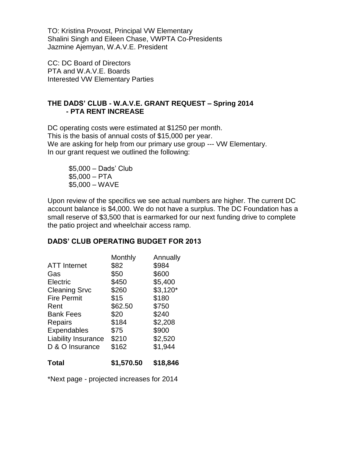TO: Kristina Provost, Principal VW Elementary Shalini Singh and Eileen Chase, VWPTA Co-Presidents Jazmine Ajemyan, W.A.V.E. President

CC: DC Board of Directors PTA and W.A.V.E. Boards Interested VW Elementary Parties

# **THE DADS' CLUB - W.A.V.E. GRANT REQUEST – Spring 2014 - PTA RENT INCREASE**

DC operating costs were estimated at \$1250 per month. This is the basis of annual costs of \$15,000 per year. We are asking for help from our primary use group --- VW Elementary. In our grant request we outlined the following:

\$5,000 – Dads' Club  $$5,000 - PTA$ \$5,000 – WAVE

Upon review of the specifics we see actual numbers are higher. The current DC account balance is \$4,000. We do not have a surplus. The DC Foundation has a small reserve of \$3,500 that is earmarked for our next funding drive to complete the patio project and wheelchair access ramp.

# **DADS' CLUB OPERATING BUDGET FOR 2013**

| Monthly | Annually   |
|---------|------------|
| \$82    | \$984      |
| \$50    | \$600      |
| \$450   | \$5,400    |
| \$260   | $$3,120^*$ |
| \$15    | \$180      |
| \$62.50 | \$750      |
| \$20    | \$240      |
| \$184   | \$2,208    |
| \$75    | \$900      |
| \$210   | \$2,520    |
| \$162   | \$1,944    |
|         |            |
|         |            |

**Total \$1,570.50 \$18,846**

\*Next page - projected increases for 2014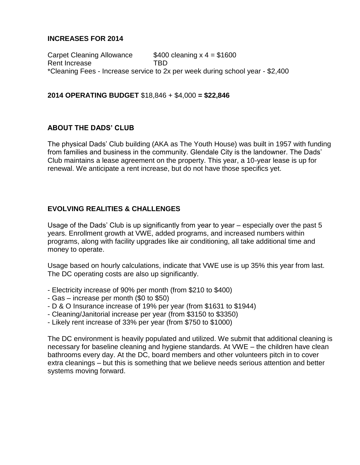# **INCREASES FOR 2014**

Carpet Cleaning Allowance  $$400$  cleaning  $x = 1600$ Rent Increase TBD \*Cleaning Fees - Increase service to 2x per week during school year - \$2,400

# **2014 OPERATING BUDGET** \$18,846 + \$4,000 **= \$22,846**

### **ABOUT THE DADS' CLUB**

The physical Dads' Club building (AKA as The Youth House) was built in 1957 with funding from families and business in the community. Glendale City is the landowner. The Dads' Club maintains a lease agreement on the property. This year, a 10-year lease is up for renewal. We anticipate a rent increase, but do not have those specifics yet.

# **EVOLVING REALITIES & CHALLENGES**

Usage of the Dads' Club is up significantly from year to year – especially over the past 5 years. Enrollment growth at VWE, added programs, and increased numbers within programs, along with facility upgrades like air conditioning, all take additional time and money to operate.

Usage based on hourly calculations, indicate that VWE use is up 35% this year from last. The DC operating costs are also up significantly.

- Electricity increase of 90% per month (from \$210 to \$400)
- Gas increase per month (\$0 to \$50)
- D & O Insurance increase of 19% per year (from \$1631 to \$1944)
- Cleaning/Janitorial increase per year (from \$3150 to \$3350)
- Likely rent increase of 33% per year (from \$750 to \$1000)

The DC environment is heavily populated and utilized. We submit that additional cleaning is necessary for baseline cleaning and hygiene standards. At VWE – the children have clean bathrooms every day. At the DC, board members and other volunteers pitch in to cover extra cleanings – but this is something that we believe needs serious attention and better systems moving forward.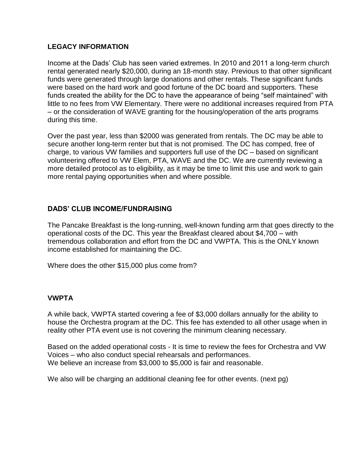# **LEGACY INFORMATION**

Income at the Dads' Club has seen varied extremes. In 2010 and 2011 a long-term church rental generated nearly \$20,000, during an 18-month stay. Previous to that other significant funds were generated through large donations and other rentals. These significant funds were based on the hard work and good fortune of the DC board and supporters. These funds created the ability for the DC to have the appearance of being "self maintained" with little to no fees from VW Elementary. There were no additional increases required from PTA – or the consideration of WAVE granting for the housing/operation of the arts programs during this time.

Over the past year, less than \$2000 was generated from rentals. The DC may be able to secure another long-term renter but that is not promised. The DC has comped, free of charge, to various VW families and supporters full use of the DC – based on significant volunteering offered to VW Elem, PTA, WAVE and the DC. We are currently reviewing a more detailed protocol as to eligibility, as it may be time to limit this use and work to gain more rental paying opportunities when and where possible.

# **DADS' CLUB INCOME/FUNDRAISING**

The Pancake Breakfast is the long-running, well-known funding arm that goes directly to the operational costs of the DC. This year the Breakfast cleared about \$4,700 – with tremendous collaboration and effort from the DC and VWPTA. This is the ONLY known income established for maintaining the DC.

Where does the other \$15,000 plus come from?

### **VWPTA**

A while back, VWPTA started covering a fee of \$3,000 dollars annually for the ability to house the Orchestra program at the DC. This fee has extended to all other usage when in reality other PTA event use is not covering the minimum cleaning necessary.

Based on the added operational costs - It is time to review the fees for Orchestra and VW Voices – who also conduct special rehearsals and performances. We believe an increase from \$3,000 to \$5,000 is fair and reasonable.

We also will be charging an additional cleaning fee for other events. (next pg)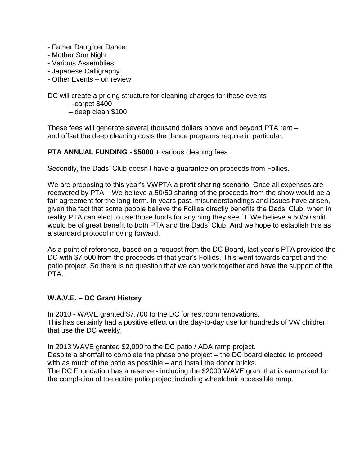- Father Daughter Dance
- Mother Son Night
- Various Assemblies
- Japanese Calligraphy
- Other Events on review

DC will create a pricing structure for cleaning charges for these events

- carpet \$400
- deep clean \$100

These fees will generate several thousand dollars above and beyond PTA rent – and offset the deep cleaning costs the dance programs require in particular.

### **PTA ANNUAL FUNDING - \$5000** + various cleaning fees

Secondly, the Dads' Club doesn't have a guarantee on proceeds from Follies.

We are proposing to this year's VWPTA a profit sharing scenario. Once all expenses are recovered by PTA – We believe a 50/50 sharing of the proceeds from the show would be a fair agreement for the long-term. In years past, misunderstandings and issues have arisen, given the fact that some people believe the Follies directly benefits the Dads' Club, when in reality PTA can elect to use those funds for anything they see fit. We believe a 50/50 split would be of great benefit to both PTA and the Dads' Club. And we hope to establish this as a standard protocol moving forward.

As a point of reference, based on a request from the DC Board, last year's PTA provided the DC with \$7,500 from the proceeds of that year's Follies. This went towards carpet and the patio project. So there is no question that we can work together and have the support of the PTA.

# **W.A.V.E. – DC Grant History**

In 2010 - WAVE granted \$7,700 to the DC for restroom renovations. This has certainly had a positive effect on the day-to-day use for hundreds of VW children that use the DC weekly.

In 2013 WAVE granted \$2,000 to the DC patio / ADA ramp project.

Despite a shortfall to complete the phase one project – the DC board elected to proceed with as much of the patio as possible – and install the donor bricks.

The DC Foundation has a reserve - including the \$2000 WAVE grant that is earmarked for the completion of the entire patio project including wheelchair accessible ramp.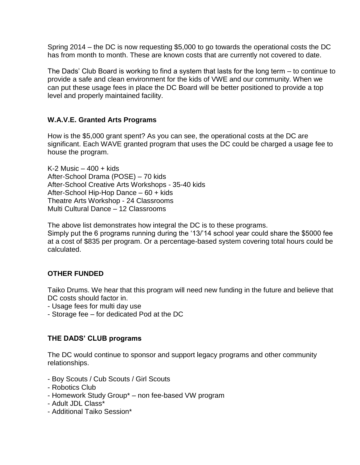Spring 2014 – the DC is now requesting \$5,000 to go towards the operational costs the DC has from month to month. These are known costs that are currently not covered to date.

The Dads' Club Board is working to find a system that lasts for the long term – to continue to provide a safe and clean environment for the kids of VWE and our community. When we can put these usage fees in place the DC Board will be better positioned to provide a top level and properly maintained facility.

# **W.A.V.E. Granted Arts Programs**

How is the \$5,000 grant spent? As you can see, the operational costs at the DC are significant. Each WAVE granted program that uses the DC could be charged a usage fee to house the program.

K-2 Music  $-400 +$  kids After-School Drama (POSE) – 70 kids After-School Creative Arts Workshops - 35-40 kids After-School Hip-Hop Dance – 60 + kids Theatre Arts Workshop - 24 Classrooms Multi Cultural Dance – 12 Classrooms

The above list demonstrates how integral the DC is to these programs.

Simply put the 6 programs running during the '13/'14 school year could share the \$5000 fee at a cost of \$835 per program. Or a percentage-based system covering total hours could be calculated.

### **OTHER FUNDED**

Taiko Drums. We hear that this program will need new funding in the future and believe that DC costs should factor in.

- Usage fees for multi day use
- Storage fee for dedicated Pod at the DC

### **THE DADS' CLUB programs**

The DC would continue to sponsor and support legacy programs and other community relationships.

- Boy Scouts / Cub Scouts / Girl Scouts
- Robotics Club
- Homework Study Group\* non fee-based VW program
- Adult JDL Class\*
- Additional Taiko Session\*